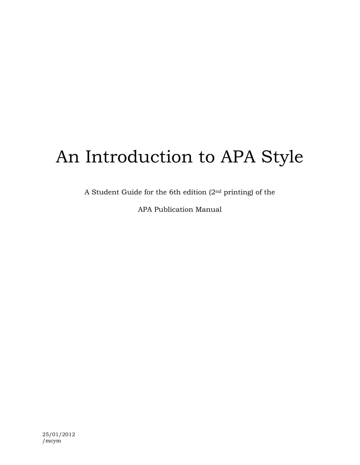# An Introduction to APA Style

A Student Guide for the 6th edition (2nd printing) of the

APA Publication Manual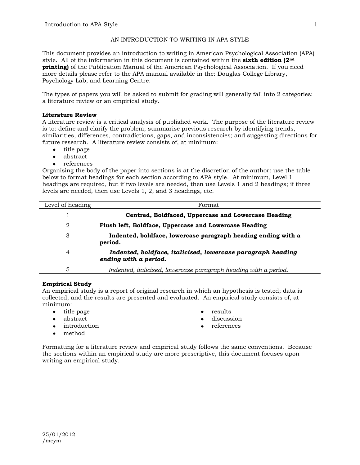# AN INTRODUCTION TO WRITING IN APA STYLE

This document provides an introduction to writing in American Psychological Association (APA) style. All of the information in this document is contained within the **sixth edition (2nd printing**) of the Publication Manual of the American Psychological Association. If you need more details please refer to the APA manual available in the: Douglas College Library, Psychology Lab, and Learning Centre.

The types of papers you will be asked to submit for grading will generally fall into 2 categories: a literature review or an empirical study.

# **Literature Review**

A literature review is a critical analysis of published work. The purpose of the literature review is to: define and clarify the problem; summarise previous research by identifying trends, similarities, differences, contradictions, gaps, and inconsistencies; and suggesting directions for future research. A literature review consists of, at minimum:

- title page
- abstract
- references

Organising the body of the paper into sections is at the discretion of the author: use the table below to format headings for each section according to APA style. At minimum, Level 1 headings are required, but if two levels are needed, then use Levels 1 and 2 headings; if three levels are needed, then use Levels 1, 2, and 3 headings, etc.

| Level of heading | Format                                                                               |
|------------------|--------------------------------------------------------------------------------------|
|                  | Centred, Boldfaced, Uppercase and Lowercase Heading                                  |
| 2                | Flush left, Boldface, Uppercase and Lowercase Heading                                |
| 3                | Indented, boldface, lowercase paragraph heading ending with a<br>period.             |
| $\overline{4}$   | Indented, boldface, italicised, lowercase paragraph heading<br>ending with a period. |
| 5                | Indented, italicised, lowercase paragraph heading with a period.                     |

# **Empirical Study**

An empirical study is a report of original research in which an hypothesis is tested; data is collected; and the results are presented and evaluated. An empirical study consists of, at minimum:

- title page
- abstract
- introduction
	- method
- results
- discussion
- references

Formatting for a literature review and empirical study follows the same conventions. Because the sections within an empirical study are more prescriptive, this document focuses upon writing an empirical study.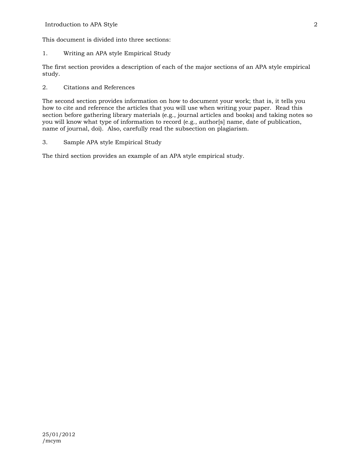This document is divided into three sections:

1. Writing an APA style Empirical Study

The first section provides a description of each of the major sections of an APA style empirical study.

2. Citations and References

The second section provides information on how to document your work; that is, it tells you how to cite and reference the articles that you will use when writing your paper. Read this section before gathering library materials (e.g., journal articles and books) and taking notes so you will know what type of information to record (e.g., author[s] name, date of publication, name of journal, doi). Also, carefully read the subsection on plagiarism.

3. Sample APA style Empirical Study

The third section provides an example of an APA style empirical study.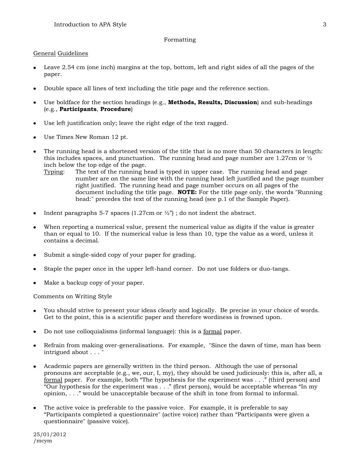# Formatting

# General Guidelines

- Leave 2.54 cm (one inch) margins at the top, bottom, left and right sides of all the pages of the paper.
- Double space all lines of text including the title page and the reference section.
- Use boldface for the section headings (e.g., **Methods, Results, Discussion**) and sub-headings  $\bullet$ (e.g., **Participants**, **Procedure**)
- Use left justification only; leave the right edge of the text ragged.
- Use Times New Roman 12 pt.  $\bullet$
- The running head is a shortened version of the title that is no more than 50 characters in length: this includes spaces, and punctuation. The running head and page number are 1.27cm or  $\frac{1}{2}$ inch below the top edge of the page.
	- Typing: The text of the running head is typed in upper case. The running head and page number are on the same line with the running head left justified and the page number right justified. The running head and page number occurs on all pages of the document including the title page. **NOTE:** For the title page only, the words "Running head:" precedes the text of the running head (see p.1 of the Sample Paper).
- Indent paragraphs 5-7 spaces (1.27cm or  $\frac{1}{2}$ ); do not indent the abstract.
- When reporting a numerical value, present the numerical value as digits if the value is greater than or equal to 10. If the numerical value is less than 10, type the value as a word, unless it contains a decimal.
- Submit a single-sided copy of your paper for grading.
- Staple the paper once in the upper left-hand corner. Do not use folders or duo-tangs.
- Make a backup copy of your paper.

Comments on Writing Style

- You should strive to present your ideas clearly and logically. Be precise in your choice of words.  $\bullet$ Get to the point, this is a scientific paper and therefore wordiness is frowned upon.
- Do not use colloquialisms (informal language): this is a formal paper.
- Refrain from making over-generalisations. For example, "Since the dawn of time, man has been  $intrigued$  about  $\ldots$
- Academic papers are generally written in the third person. Although the use of personal pronouns are acceptable (e.g., we, our, I, my), they should be used judiciously: this is, after all, a formal paper. For example, both "The hypothesis for the experiment was . . ." (third person) and "Our hypothesis for the experiment was . . ." (first person), would be acceptable whereas "In my opinion, . . ." would be unacceptable because of the shift in tone from formal to informal.
- The active voice is preferable to the passive voice. For example, it is preferable to say "Participants completed a questionnaire" (active voice) rather than "Participants were given a questionnaire" (passive voice).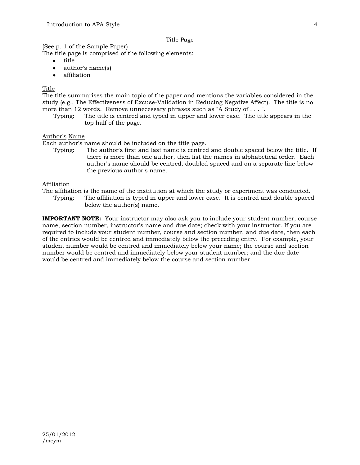#### Title Page

(See p. 1 of the Sample Paper)

The title page is comprised of the following elements:

- $\bullet$ title
- author's name(s)  $\bullet$
- affiliation  $\blacksquare$

# Title

The title summarises the main topic of the paper and mentions the variables considered in the study (e.g., The Effectiveness of Excuse-Validation in Reducing Negative Affect). The title is no more than 12 words. Remove unnecessary phrases such as "A Study of . . . ".

Typing: The title is centred and typed in upper and lower case. The title appears in the top half of the page.

# Author's Name

Each author's name should be included on the title page.

Typing: The author's first and last name is centred and double spaced below the title. If there is more than one author, then list the names in alphabetical order. Each author's name should be centred, doubled spaced and on a separate line below the previous author's name.

# Affiliation

The affiliation is the name of the institution at which the study or experiment was conducted.

Typing: The affiliation is typed in upper and lower case. It is centred and double spaced below the author(s) name.

**IMPORTANT NOTE:** Your instructor may also ask you to include your student number, course name, section number, instructor's name and due date; check with your instructor. If you are required to include your student number, course and section number, and due date, then each of the entries would be centred and immediately below the preceding entry. For example, your student number would be centred and immediately below your name; the course and section number would be centred and immediately below your student number; and the due date would be centred and immediately below the course and section number.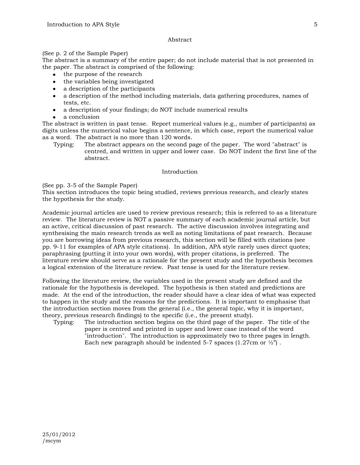#### Abstract

# (See p. 2 of the Sample Paper)

The abstract is a summary of the entire paper; do not include material that is not presented in the paper. The abstract is comprised of the following:

- the purpose of the research
- the variables being investigated
- a description of the participants
- a description of the method including materials, data gathering procedures, names of tests, etc.
- a description of your findings; do NOT include numerical results
- a conclusion

The abstract is written in past tense. Report numerical values (e.g., number of participants) as digits unless the numerical value begins a sentence, in which case, report the numerical value as a word. The abstract is no more than 120 words.

Typing: The abstract appears on the second page of the paper. The word "abstract" is centred, and written in upper and lower case. Do NOT indent the first line of the abstract.

#### Introduction

(See pp. 3-5 of the Sample Paper)

This section introduces the topic being studied, reviews previous research, and clearly states the hypothesis for the study.

Academic journal articles are used to review previous research; this is referred to as a literature review. The literature review is NOT a passive summary of each academic journal article, but an active, critical discussion of past research. The active discussion involves integrating and synthesising the main research trends as well as noting limitations of past research. Because you are borrowing ideas from previous research, this section will be filled with citations (see pp. 9-11 for examples of APA style citations). In addition, APA style rarely uses direct quotes; paraphrasing (putting it into your own words), with proper citations, is preferred. The literature review should serve as a rationale for the present study and the hypothesis becomes a logical extension of the literature review. Past tense is used for the literature review.

Following the literature review, the variables used in the present study are defined and the rationale for the hypothesis is developed. The hypothesis is then stated and predictions are made. At the end of the introduction, the reader should have a clear idea of what was expected to happen in the study and the reasons for the predictions. It is important to emphasise that the introduction section moves from the general (i.e., the general topic, why it is important, theory, previous research findings) to the specific (i.e., the present study).

Typing: The introduction section begins on the third page of the paper. The title of the paper is centred and printed in upper and lower case instead of the word "introduction". The introduction is approximately two to three pages in length. Each new paragraph should be indented 5-7 spaces  $(1.27 \text{cm or } \frac{1}{2})$ .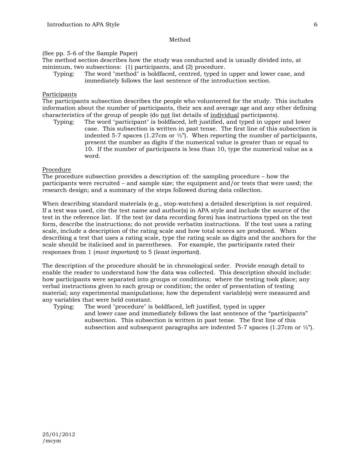#### Method

# (See pp. 5-6 of the Sample Paper)

The method section describes how the study was conducted and is usually divided into, at minimum, two subsections: (1) participants, and (2) procedure.

Typing: The word "method" is boldfaced, centred, typed in upper and lower case, and immediately follows the last sentence of the introduction section.

#### Participants

The participants subsection describes the people who volunteered for the study. This includes information about the number of participants, their sex and average age and any other defining characteristics of the group of people (do not list details of individual participants).

Typing: The word "participant" is boldfaced, left justified, and typed in upper and lower case. This subsection is written in past tense. The first line of this subsection is indented 5-7 spaces (1.27cm or  $\frac{1}{2}$ ). When reporting the number of participants, present the number as digits if the numerical value is greater than or equal to 10. If the number of participants is less than 10, type the numerical value as a word.

#### Procedure

The procedure subsection provides a description of: the sampling procedure – how the participants were recruited – and sample size; the equipment and/or tests that were used; the research design; and a summary of the steps followed during data collection.

When describing standard materials (e.g., stop-watches) a detailed description is not required. If a test was used, cite the test name and author(s) in APA style and include the source of the test in the reference list. If the test (or data recording form) has instructions typed on the test form, describe the instructions; do not provide verbatim instructions. If the test uses a rating scale, include a description of the rating scale and how total scores are produced. When describing a test that uses a rating scale, type the rating scale as digits and the anchors for the scale should be italicised and in parentheses. For example, the participants rated their responses from 1 (*most important*) to 5 (*least important*).

The description of the procedure should be in chronological order. Provide enough detail to enable the reader to understand how the data was collected. This description should include: how participants were separated into groups or conditions; where the testing took place; any verbal instructions given to each group or condition; the order of presentation of testing material; any experimental manipulations; how the dependent variable(s) were measured and any variables that were held constant.

Typing: The word "procedure" is boldfaced, left justified, typed in upper and lower case and immediately follows the last sentence of the "participants" subsection. This subsection is written in past tense. The first line of this subsection and subsequent paragraphs are indented 5-7 spaces (1.27cm or  $\frac{1}{2}$ ").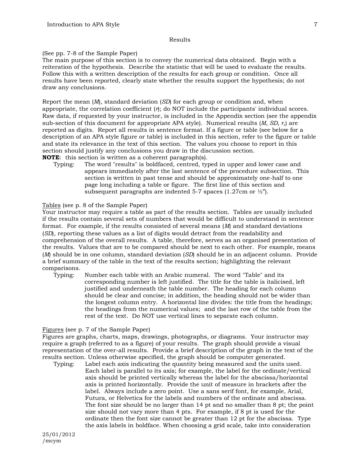#### Results

# (See pp. 7-8 of the Sample Paper)

The main purpose of this section is to convey the numerical data obtained. Begin with a reiteration of the hypothesis. Describe the statistic that will be used to evaluate the results. Follow this with a written description of the results for each group or condition. Once all results have been reported, clearly state whether the results support the hypothesis; do not draw any conclusions.

Report the mean (*M*), standard deviation (*SD*) for each group or condition and, when appropriate, the correlation coefficient  $(r)$ ; do NOT include the participants' individual scores. Raw data, if requested by your instructor, is included in the Appendix section (see the appendix sub-section of this document for appropriate APA style). Numerical results (*M, SD, r,*) are reported as digits. Report all results in sentence format. If a figure or table (see below for a description of an APA style figure or table) is included in this section, refer to the figure or table and state its relevance in the text of this section. The values you choose to report in this section should justify any conclusions you draw in the discussion section. **NOTE**: this section is written as a coherent paragraph(s).

Typing: The word "results" is boldfaced, centred, typed in upper and lower case and appears immediately after the last sentence of the procedure subsection. This section is written in past tense and should be approximately one-half to one page long including a table or figure. The first line of this section and subsequent paragraphs are indented 5-7 spaces (1.27cm or  $\frac{1}{2}$ ").

# Tables (see p. 8 of the Sample Paper)

Your instructor may require a table as part of the results section. Tables are usually included if the results contain several sets of numbers that would be difficult to understand in sentence format. For example, if the results consisted of several means (*M*) and standard deviations (*SD*), reporting these values as a list of digits would detract from the readability and comprehension of the overall results. A table, therefore, serves as an organised presentation of the results. Values that are to be compared should be next to each other. For example, means (*M*) should be in one column, standard deviation (*SD*) should be in an adjacent column. Provide a brief summary of the table in the text of the results section; highlighting the relevant comparisons.

Typing: Number each table with an Arabic numeral. The word "Table" and its corresponding number is left justified. The title for the table is italicised, left justified and underneath the table number. The heading for each column should be clear and concise; in addition, the heading should not be wider than the longest column entry. A horizontal line divides: the title from the headings; the headings from the numerical values; and the last row of the table from the rest of the text. Do NOT use vertical lines to separate each column.

# Figures (see p. 7 of the Sample Paper)

Figures are graphs, charts, maps, drawings, photographs, or diagrams. Your instructor may require a graph (referred to as a figure) of your results. The graph should provide a visual representation of the over-all results. Provide a brief description of the graph in the text of the results section. Unless otherwise specified, the graph should be computer generated.

Typing: Label each axis indicating the quantity being measured and the units used. Each label is parallel to its axis; for example, the label for the ordinate/vertical axis should be printed vertically whereas the label for the abscissa/horizontal axis is printed horizontally. Provide the unit of measure in brackets after the label. Always include a zero point. Use a sans serif font, for example, Arial, Futura, or Helvetica for the labels and numbers of the ordinate and abscissa. The font size should be no larger than 14 pt and no smaller than 8 pt; the point size should not vary more than 4 pts. For example, if 8 pt is used for the ordinate then the font size cannot be greater than 12 pt for the abscissa. Type the axis labels in boldface. When choosing a grid scale, take into consideration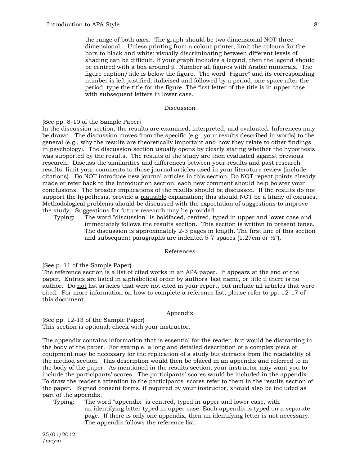the range of both axes. The graph should be two dimensional NOT three dimensional . Unless printing from a colour printer, limit the colours for the bars to black and white: visually discriminating between different levels of shading can be difficult. If your graph includes a legend, then the legend should be centred with a box around it. Number all figures with Arabic numerals. The figure caption/title is below the figure. The word "Figure" and its corresponding number is left justified, italicised and followed by a period; one space after the period, type the title for the figure. The first letter of the title is in upper case with subsequent letters in lower case.

#### Discussion

#### (See pp. 8-10 of the Sample Paper)

In the discussion section, the results are examined, interpreted, and evaluated. Inferences may be drawn. The discussion moves from the specific (e.g., your results described in words) to the general (e.g., why the results are theoretically important and how they relate to other findings in psychology). The discussion section usually opens by clearly stating whether the hypothesis was supported by the results. The results of the study are then evaluated against previous research. Discuss the similarities and differences between your results and past research results; limit your comments to those journal articles used in your literature review (include citations). Do NOT introduce new journal articles in this section. Do NOT repeat points already made or refer back to the introduction section; each new comment should help bolster your conclusions. The broader implications of the results should be discussed. If the results do not support the hypothesis, provide a plausible explanation; this should NOT be a litany of excuses. Methodological problems should be discussed with the expectation of suggestions to improve the study. Suggestions for future research may be provided.

Typing: The word "discussion" is boldfaced, centred, typed in upper and lower case and immediately follows the results section. This section is written in present tense. The discussion is approximately 2-3 pages in length. The first line of this section and subsequent paragraphs are indented 5-7 spaces  $(1.27 \text{cm or } \frac{1}{2})$ .

#### References

(See p. 11 of the Sample Paper)

The reference section is a list of cited works in an APA paper. It appears at the end of the paper. Entries are listed in alphabetical order by authors' last name, or title if there is no author. Do not list articles that were not cited in your report, but include all articles that were cited. For more information on how to complete a reference list, please refer to pp. 12-17 of this document.

#### Appendix

(See pp. 12-13 of the Sample Paper) This section is optional; check with your instructor.

The appendix contains information that is essential for the reader, but would be distracting in the body of the paper. For example, a long and detailed description of a complex piece of equipment may be necessary for the replication of a study but detracts from the readability of the method section. This description would then be placed in an appendix and referred to in the body of the paper. As mentioned in the results section, your instructor may want you to include the participants' scores. The participants' scores would be included in the appendix. To draw the reader's attention to the participants' scores refer to them in the results section of the paper. Signed consent forms, if required by your instructor, should also be included as part of the appendix.

Typing: The word "appendix" is centred, typed in upper and lower case, with an identifying letter typed in upper case. Each appendix is typed on a separate page. If there is only one appendix, then an identifying letter is not necessary. The appendix follows the reference list.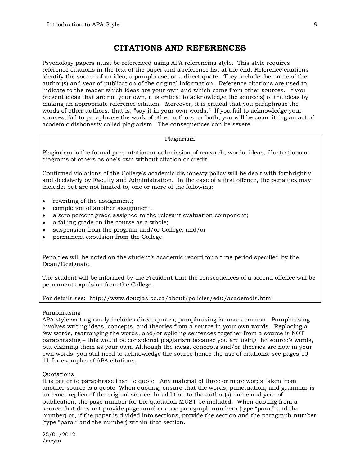# **CITATIONS AND REFERENCES**

Psychology papers must be referenced using APA referencing style. This style requires reference citations in the text of the paper and a reference list at the end. Reference citations identify the source of an idea, a paraphrase, or a direct quote. They include the name of the author(s) and year of publication of the original information. Reference citations are used to indicate to the reader which ideas are your own and which came from other sources. If you present ideas that are not your own, it is critical to acknowledge the source(s) of the ideas by making an appropriate reference citation. Moreover, it is critical that you paraphrase the words of other authors, that is, "say it in your own words." If you fail to acknowledge your sources, fail to paraphrase the work of other authors, or both, you will be committing an act of academic dishonesty called plagiarism. The consequences can be severe.

# Plagiarism

Plagiarism is the formal presentation or submission of research, words, ideas, illustrations or diagrams of others as one's own without citation or credit.

Confirmed violations of the College's academic dishonesty policy will be dealt with forthrightly and decisively by Faculty and Administration. In the case of a first offence, the penalties may include, but are not limited to, one or more of the following:

- rewriting of the assignment;  $\bullet$
- completion of another assignment;  $\bullet$
- a zero percent grade assigned to the relevant evaluation component;
- a failing grade on the course as a whole;  $\bullet$
- suspension from the program and/or College; and/or
- permanent expulsion from the College

Penalties will be noted on the student's academic record for a time period specified by the Dean/Designate.

The student will be informed by the President that the consequences of a second offence will be permanent expulsion from the College.

# For details see: http://www.douglas.bc.ca/about/policies/edu/academdis.html

# Paraphrasing

APA style writing rarely includes direct quotes; paraphrasing is more common. Paraphrasing involves writing ideas, concepts, and theories from a source in your own words. Replacing a few words, rearranging the words, and/or splicing sentences together from a source is NOT paraphrasing – this would be considered plagiarism because you are using the source's words, but claiming them as your own. Although the ideas, concepts and/or theories are now in your own words, you still need to acknowledge the source hence the use of citations: see pages 10- 11 for examples of APA citations.

# Quotations

It is better to paraphrase than to quote. Any material of three or more words taken from another source is a quote. When quoting, ensure that the words, punctuation, and grammar is an exact replica of the original source. In addition to the author(s) name and year of publication, the page number for the quotation MUST be included. When quoting from a source that does not provide page numbers use paragraph numbers (type "para." and the number) or, if the paper is divided into sections, provide the section and the paragraph number (type "para." and the number) within that section.

25/01/2012 /mcym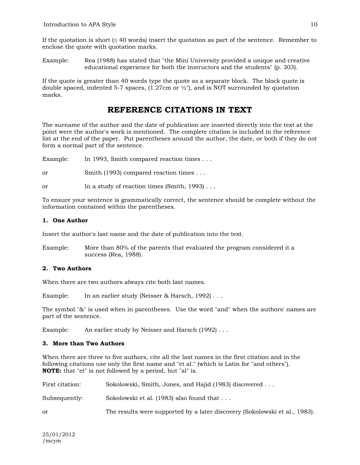If the quotation is short  $( \leq 40 \text{ words})$  insert the quotation as part of the sentence. Remember to enclose the quote with quotation marks.

Example: Rea (1988) has stated that "the Mini University provided a unique and creative educational experience for both the instructors and the students" (p. 303).

If the quote is greater than 40 words type the quote as a separate block. The block quote is double spaced, indented 5-7 spaces,  $(1.27 \text{cm or } \frac{1}{2})$ , and is NOT surrounded by quotation marks.

# **REFERENCE CITATIONS IN TEXT**

The surname of the author and the date of publication are inserted directly into the text at the point were the author's work is mentioned. The complete citation is included in the reference list at the end of the paper. Put parentheses around the author, the date, or both if they do not form a normal part of the sentence.

Example: In 1993, Smith compared reaction times . . .

or Smith (1993) compared reaction times . . .

or In a study of reaction times (Smith, 1993) . . .

To ensure your sentence is grammatically correct, the sentence should be complete without the information contained within the parentheses.

# **1. One Author**

Insert the author's last name and the date of publication into the text.

Example: More than 80% of the parents that evaluated the program considered it a success (Rea, 1988).

# **2. Two Authors**

When there are two authors always cite both last names.

Example: In an earlier study (Neisser & Harsch, 1992)...

The symbol "&" is used when in parentheses. Use the word "and" when the authors' names are part of the sentence.

Example: An earlier study by Neisser and Harsch (1992)...

# **3. More than Two Authors**

When there are three to five authors, cite all the last names in the first citation and in the following citations use only the first name and "et al." (which is Latin for "and others"). **NOTE:** that "et" is not followed by a period, but "al" is.

| First citation: | Sokolowski, Smith, Jones, and Hajid (1983) discovered                      |  |
|-----------------|----------------------------------------------------------------------------|--|
| Subsequently:   | Sokolowski et al. (1983) also found that                                   |  |
| or              | The results were supported by a later discovery (Sokolowski et al., 1983). |  |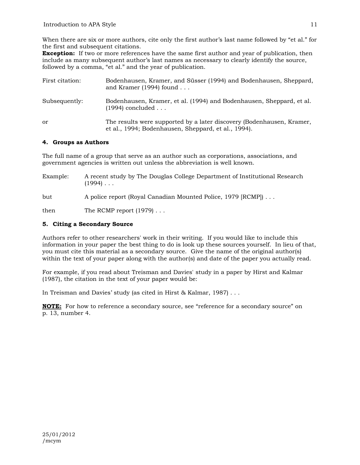When there are six or more authors, cite only the first author's last name followed by "et al." for the first and subsequent citations.

**Exception:** If two or more references have the same first author and year of publication, then include as many subsequent author's last names as necessary to clearly identify the source, followed by a comma, "et al." and the year of publication.

| First citation: | Bodenhausen, Kramer, and Süsser (1994) and Bodenhausen, Sheppard,<br>and Kramer (1994) found $\ldots$                        |
|-----------------|------------------------------------------------------------------------------------------------------------------------------|
| Subsequently:   | Bodenhausen, Kramer, et al. (1994) and Bodenhausen, Sheppard, et al.<br>$(1994)$ concluded                                   |
| or              | The results were supported by a later discovery (Bodenhausen, Kramer,<br>et al., 1994; Bodenhausen, Sheppard, et al., 1994). |

# **4. Groups as Authors**

The full name of a group that serve as an author such as corporations, associations, and government agencies is written out unless the abbreviation is well known.

| Example: | A recent study by The Douglas College Department of Institutional Research<br>$(1994)$ |
|----------|----------------------------------------------------------------------------------------|
| but      | A police report (Royal Canadian Mounted Police, 1979 [RCMP])                           |
| then     | The RCMP report $(1979) \ldots$                                                        |

# **5. Citing a Secondary Source**

Authors refer to other researchers' work in their writing. If you would like to include this information in your paper the best thing to do is look up these sources yourself. In lieu of that, you must cite this material as a secondary source. Give the name of the original author(s) within the text of your paper along with the author(s) and date of the paper you actually read.

For example, if you read about Treisman and Davies' study in a paper by Hirst and Kalmar (1987), the citation in the text of your paper would be:

In Treisman and Davies' study (as cited in Hirst & Kalmar, 1987) . . .

**NOTE:** For how to reference a secondary source, see "reference for a secondary source" on p. 13, number 4.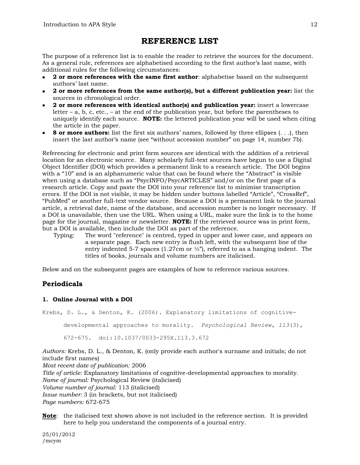# **REFERENCE LIST**

The purpose of a reference list is to enable the reader to retrieve the sources for the document. As a general rule, references are alphabetised according to the first author's last name, with additional rules for the following circumstances:

- **2 or more references with the same first author**: alphabetise based on the subsequent authors' last name.
- **2 or more references from the same author(s), but a different publication year:** list the sources in chronological order.
- **2 or more references with identical author(s) and publication year:** insert a lowercase letter – a, b, c, etc., – at the end of the publication year, but before the parentheses to uniquely identify each source. **NOTE:** the lettered publication year will be used when citing the article in the paper.
- **8 or more authors:** list the first six authors' names, followed by three ellipses  $( \ldots )$ , then insert the last author's name (see "without accession number" on page 14, number 7b).

Referencing for electronic and print form sources are identical with the addition of a retrieval location for an electronic source. Many scholarly full-text sources have begun to use a Digital Object Identifier (DOI) which provides a permanent link to a research article. The DOI begins with a "10" and is an alphanumeric value that can be found where the "Abstract" is visible when using a database such as "PsycINFO/PsycARTICLES" and/or on the first page of a research article. Copy and paste the DOI into your reference list to minimise transcription errors. If the DOI is not visible, it may be hidden under buttons labelled "Article", "CrossRef", "PubMed" or another full-text vendor source. Because a DOI is a permanent link to the journal article, a retrieval date, name of the database, and accession number is no longer necessary. If a DOI is unavailable, then use the URL. When using a URL, make sure the link is to the home page for the journal, magazine or newsletter. **NOTE:** If the retrieved source was in print form, but a DOI is available, then include the DOI as part of the reference.

Typing: The word "reference" is centred, typed in upper and lower case, and appears on a separate page. Each new entry is flush left, with the subsequent line of the entry indented 5-7 spaces (1.27cm or  $\frac{1}{2}$ ), referred to as a hanging indent. The titles of books, journals and volume numbers are italicised.

Below and on the subsequent pages are examples of how to reference various sources.

# **Periodicals**

# **1. Online Journal with a DOI**

Krebs, D. L., & Denton, K. (2006). Explanatory limitations of cognitivedevelopmental approaches to morality. *Psychological Review, 113*(3), 672-675. doi: 10.1037/0033-295X.113.3.672

*Authors:* Krebs, D. L., & Denton, K. (only provide each author's surname and initials; do not include first names)

*Most recent date of publication:* 2006 *Title of article:* Explanatory limitations of cognitive-developmental approaches to morality. *Name of journal:* Psychological Review (italicised) *Volume number of journal:* 113 (italicised) *Issue number:* 3 (in brackets, but not italicised) *Page numbers:* 672-675

**Note**: the italicised text shown above is not included in the reference section. It is provided here to help you understand the components of a journal entry.

25/01/2012 /mcym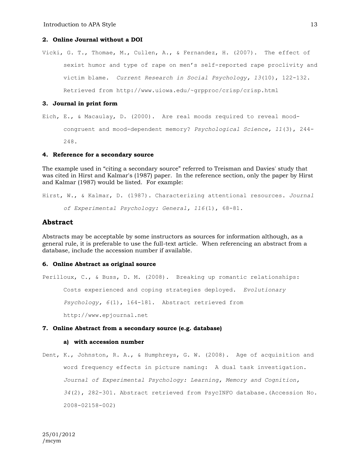# **2. Online Journal without a DOI**

Vicki, G. T., Thomae, M., Cullen, A., & Fernandez, H. (2007). The effect of sexist humor and type of rape on men's self-reported rape proclivity and victim blame. *Current Research in Social Psychology, 13*(10), 122-132. Retrieved from http://www.uiowa.edu/~grpproc/crisp/crisp.html

#### **3. Journal in print form**

Eich, E., & Macaulay, D. (2000). Are real moods required to reveal moodcongruent and mood-dependent memory? *Psychological Science, 11*(3), 244- 248.

#### **4. Reference for a secondary source**

The example used in "citing a secondary source" referred to Treisman and Davies' study that was cited in Hirst and Kalmar's (1987) paper. In the reference section, only the paper by Hirst and Kalmar (1987) would be listed. For example:

Hirst, W., & Kalmar, D. (1987). Characterizing attentional resources. *Journal of Experimental Psychology: General, 116*(1), 68-81.

# **Abstract**

Abstracts may be acceptable by some instructors as sources for information although, as a general rule, it is preferable to use the full-text article. When referencing an abstract from a database, include the accession number if available.

#### **6. Online Abstract as original source**

Perilloux, C., & Buss, D. M. (2008). Breaking up romantic relationships: Costs experienced and coping strategies deployed. *Evolutionary Psychology, 6*(1), 164-181. Abstract retrieved from http://www.epjournal.net

# **7. Online Abstract from a secondary source (e.g. database)**

#### **a) with accession number**

Dent, K., Johnston, R. A., & Humphreys, G. W. (2008). Age of acquisition and word frequency effects in picture naming: A dual task investigation. *Journal of Experimental Psychology: Learning, Memory and Cognition, 34*(2), 282-301. Abstract retrieved from PsycINFO database.(Accession No. 2008-02158-002)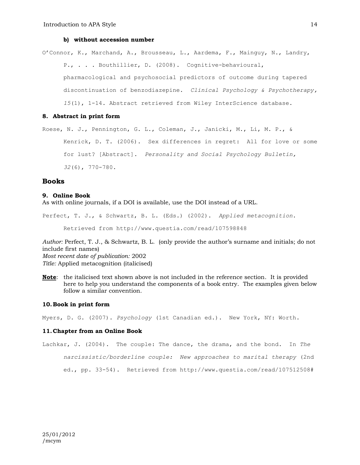#### **b) without accession number**

O'Connor, K., Marchand, A., Brousseau, L., Aardema, F., Mainguy, N., Landry, P., . . . Bouthillier, D. (2008). Cognitive-behavioural, pharmacological and psychosocial predictors of outcome during tapered discontinuation of benzodiazepine. *Clinical Psychology & Psychotherapy, 15*(1), 1-14. Abstract retrieved from Wiley InterScience database.

# **8. Abstract in print form**

```
Roese, N. J., Pennington, G. L., Coleman, J., Janicki, M., Li, M. P., & 
Kenrick, D. T. (2006). Sex differences in regret: All for love or some 
for lust? [Abstract]. Personality and Social Psychology Bulletin, 
32(6), 770-780.
```
#### **Books**

#### **9. Online Book**

As with online journals, if a DOI is available, use the DOI instead of a URL.

```
Perfect, T. J., & Schwartz, B. L. (Eds.) (2002). Applied metacognition. 
Retrieved from http://www.questia.com/read/107598848
```
*Author:* Perfect, T. J., & Schwartz, B. L. (only provide the author's surname and initials; do not include first names) *Most recent date of publication:* 2002 *Title:* Applied metacognition (italicised)

**Note**: the italicised text shown above is not included in the reference section. It is provided here to help you understand the components of a book entry. The examples given below follow a similar convention.

#### **10.Book in print form**

Myers, D. G. (2007). *Psychology* (1st Canadian ed.). New York, NY: Worth.

#### **11.Chapter from an Online Book**

Lachkar, J. (2004). The couple: The dance, the drama, and the bond. In *The narcissistic/borderline couple: New approaches to marital therapy* (2nd ed., pp. 33-54). Retrieved from http://www.questia.com/read/107512508#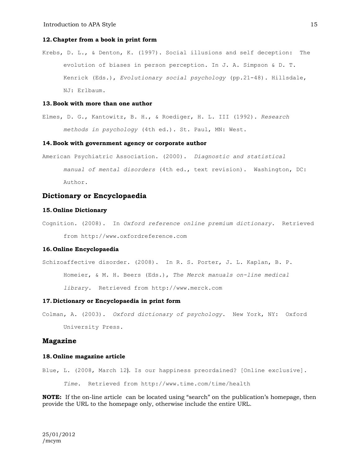#### **12.Chapter from a book in print form**

Krebs, D. L., & Denton, K. (1997). Social illusions and self deception: The evolution of biases in person perception. In J. A. Simpson & D. T. Kenrick (Eds.), *Evolutionary social psychology* (pp.21-48). Hillsdale, NJ: Erlbaum.

#### **13.Book with more than one author**

Elmes, D. G., Kantowitz, B. H., & Roediger, H. L. III (1992). *Research methods in psychology* (4th ed.). St. Paul, MN: West.

#### **14.Book with government agency or corporate author**

American Psychiatric Association. (2000). *Diagnostic and statistical manual of mental disorders* (4th ed., text revision). Washington, DC: Author.

# **Dictionary or Encyclopaedia**

#### **15. Online Dictionary**

Cognition. (2008). In *Oxford reference online premium dictionary*. Retrieved from http://www.oxfordreference.com

#### **16. Online Encyclopaedia**

Schizoaffective disorder. (2008). In R. S. Porter, J. L. Kaplan, B. P.

Homeier, & M. H. Beers (Eds.), *The Merck manuals on-line medical* 

*library*. Retrieved from http://www.merck.com

#### **17.Dictionary or Encyclopaedia in print form**

Colman, A. (2003). *Oxford dictionary of psychology*. New York, NY: Oxford University Press.

#### **Magazine**

#### **18. Online magazine article**

Blue, L. (2008, March 12). Is our happiness preordained? [Online exclusive]. *Time*. Retrieved from http://www.time.com/time/health

**NOTE:** If the on-line article can be located using "search" on the publication's homepage, then provide the URL to the homepage only, otherwise include the entire URL.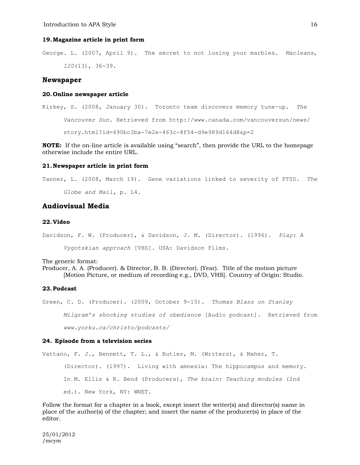#### **19.Magazine article in print form**

George. L. (2007, April 9). The secret to not losing your marbles. *Macleans*, *120*(13), 36-39.

#### **Newspaper**

#### **20. Online newspaper article**

Kirkey, S. (2008, January 30). Toronto team discovers memory tune-up. *The Vancouver Sun*. Retrieved from http://www.canada.com/vancouversun/news/ story.html?id=490bc3ba-7e2e-463c-8f54-d9e989d164d8&p=2

**NOTE:** If the on-line article is available using "search", then provide the URL to the homepage otherwise include the entire URL.

# **21.Newspaper article in print form**

Tanner, L. (2008, March 19). Gene variations linked to severity of PTSD. *The Globe and Mail,* p. L4.

# **Audiovisual Media**

#### **22.Video**

Davidson, F. W. (Producer), & Davidson, J. M. (Director). (1996). *Play: A Vygotskian approach* [VHS]. USA: Davidson Films.

The generic format:

Producer, A. A. (Producer). & Director, B. B. (Director). (Year). Title of the motion picture [Motion Picture, or medium of recording e.g., DVD, VHS]. Country of Origin: Studio.

#### **23.Podcast**

Green, C. D. (Producer). (2009, October 9-15). *Thomas Blass on Stanley Milgram's shocking studies of obedience* [Audio podcast]. Retrieved from *www.yorku.ca/christo/podcasts/*

#### **24. Episode from a television series**

Vattano, F. J., Bennett, T. L., & Butler, M. (Writers), & Maher, T. (Director). (1997). Living with amnesia: The hippocampus and memory. In M. Ellis & R. Bend (Producers), *The brain: Teaching modules* (2nd ed.). New York, NY: WNET.

Follow the format for a chapter in a book, except insert the writer(s) and director(s) name in place of the author(s) of the chapter; and insert the name of the producer(s) in place of the editor.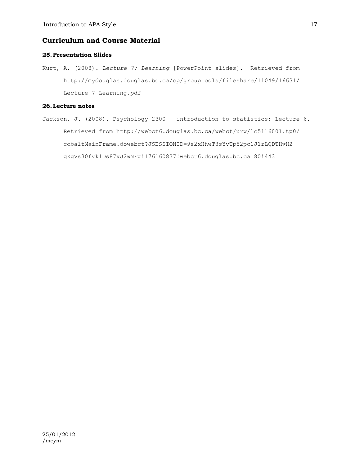# **Curriculum and Course Material**

#### **25.Presentation Slides**

Kurt, A. (2008). *Lecture 7: Learning* [PowerPoint slides]. Retrieved from http://mydouglas.douglas.bc.ca/cp/grouptools/fileshare/11049/16631/ Lecture 7 Learning.pdf

# **26.Lecture notes**

Jackson, J. (2008). Psychology 2300 – introduction to statistics: Lecture 6. Retrieved from http://webct6.douglas.bc.ca/webct/urw/lc5116001.tp0/ cobaltMainFrame.dowebct?JSESSIONID=9s2xHhwT3sYvTp52pc1J1rLQDTHvH2 qKgVs30fvk1Ds87vJ2wNFg!176160837!webct6.douglas.bc.ca!80!443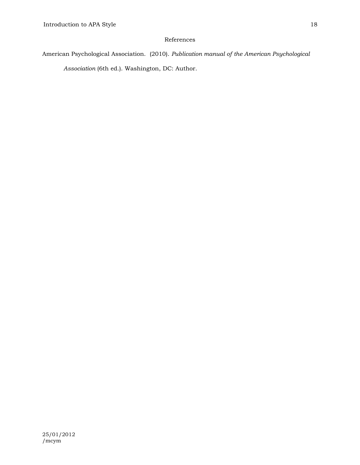# References

# American Psychological Association. (2010). *Publication manual of the American Psychological Association* (6th ed.). Washington, DC: Author.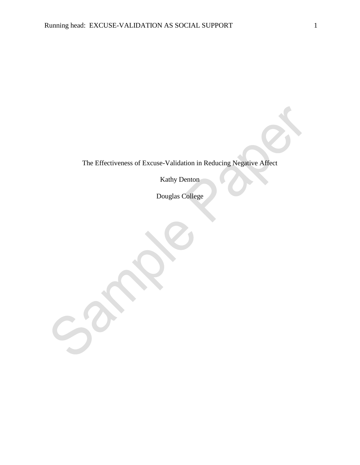$\sim$ 

The Effectiveness of Excuse-Validation in Reducing Negative Affect

Kathy Denton

Douglas College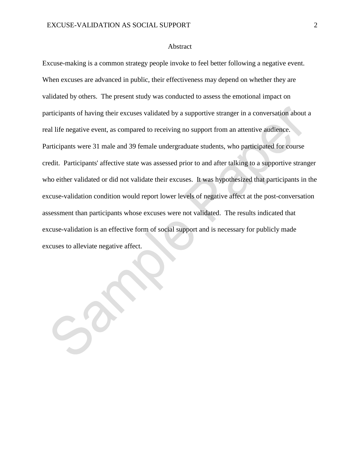$-20$ 

# Abstract

Excuse-making is a common strategy people invoke to feel better following a negative event. When excuses are advanced in public, their effectiveness may depend on whether they are validated by others. The present study was conducted to assess the emotional impact on participants of having their excuses validated by a supportive stranger in a conversation about a real life negative event, as compared to receiving no support from an attentive audience. Participants were 31 male and 39 female undergraduate students, who participated for course credit. Participants' affective state was assessed prior to and after talking to a supportive stranger who either validated or did not validate their excuses. It was hypothesized that participants in the excuse-validation condition would report lower levels of negative affect at the post-conversation assessment than participants whose excuses were not validated. The results indicated that excuse-validation is an effective form of social support and is necessary for publicly made excuses to alleviate negative affect.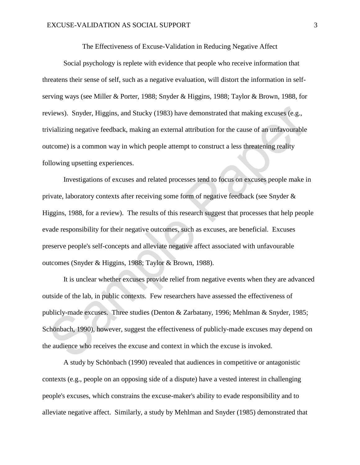The Effectiveness of Excuse-Validation in Reducing Negative Affect

Social psychology is replete with evidence that people who receive information that threatens their sense of self, such as a negative evaluation, will distort the information in selfserving ways (see Miller & Porter, 1988; Snyder & Higgins, 1988; Taylor & Brown, 1988, for reviews). Snyder, Higgins, and Stucky (1983) have demonstrated that making excuses (e.g., trivializing negative feedback, making an external attribution for the cause of an unfavourable outcome) is a common way in which people attempt to construct a less threatening reality following upsetting experiences.

Investigations of excuses and related processes tend to focus on excuses people make in private, laboratory contexts after receiving some form of negative feedback (see Snyder & Higgins, 1988, for a review). The results of this research suggest that processes that help people evade responsibility for their negative outcomes, such as excuses, are beneficial. Excuses preserve people's self-concepts and alleviate negative affect associated with unfavourable outcomes (Snyder & Higgins, 1988; Taylor & Brown, 1988).

It is unclear whether excuses provide relief from negative events when they are advanced outside of the lab, in public contexts. Few researchers have assessed the effectiveness of publicly-made excuses. Three studies (Denton & Zarbatany, 1996; Mehlman & Snyder, 1985; Schönbach, 1990), however, suggest the effectiveness of publicly-made excuses may depend on the audience who receives the excuse and context in which the excuse is invoked.

A study by Schönbach (1990) revealed that audiences in competitive or antagonistic contexts (e.g., people on an opposing side of a dispute) have a vested interest in challenging people's excuses, which constrains the excuse-maker's ability to evade responsibility and to alleviate negative affect. Similarly, a study by Mehlman and Snyder (1985) demonstrated that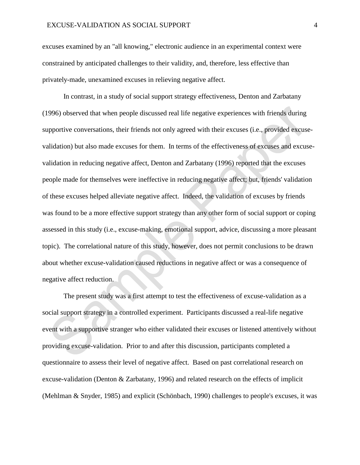excuses examined by an "all knowing," electronic audience in an experimental context were constrained by anticipated challenges to their validity, and, therefore, less effective than privately-made, unexamined excuses in relieving negative affect.

In contrast, in a study of social support strategy effectiveness, Denton and Zarbatany (1996) observed that when people discussed real life negative experiences with friends during supportive conversations, their friends not only agreed with their excuses (i.e., provided excusevalidation) but also made excuses for them. In terms of the effectiveness of excuses and excusevalidation in reducing negative affect, Denton and Zarbatany (1996) reported that the excuses people made for themselves were ineffective in reducing negative affect; but, friends' validation of these excuses helped alleviate negative affect. Indeed, the validation of excuses by friends was found to be a more effective support strategy than any other form of social support or coping assessed in this study (i.e., excuse-making, emotional support, advice, discussing a more pleasant topic). The correlational nature of this study, however, does not permit conclusions to be drawn about whether excuse-validation caused reductions in negative affect or was a consequence of negative affect reduction.

The present study was a first attempt to test the effectiveness of excuse-validation as a social support strategy in a controlled experiment. Participants discussed a real-life negative event with a supportive stranger who either validated their excuses or listened attentively without providing excuse-validation. Prior to and after this discussion, participants completed a questionnaire to assess their level of negative affect. Based on past correlational research on excuse-validation (Denton & Zarbatany, 1996) and related research on the effects of implicit (Mehlman & Snyder, 1985) and explicit (Schönbach, 1990) challenges to people's excuses, it was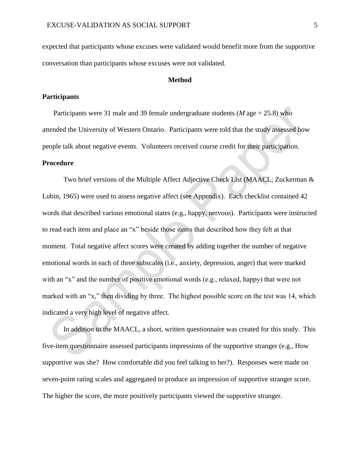expected that participants whose excuses were validated would benefit more from the supportive conversation than participants whose excuses were not validated.

# **Method**

# **Participants**

Participants were 31 male and 39 female undergraduate students (*M* age = 25.8) who attended the University of Western Ontario. Participants were told that the study assessed how people talk about negative events. Volunteers received course credit for their participation.

# **Procedure**

Two brief versions of the Multiple Affect Adjective Check List (MAACL; Zuckerman & Lubin, 1965) were used to assess negative affect (see Appendix). Each checklist contained 42 words that described various emotional states (e.g., happy, nervous). Participants were instructed to read each item and place an "x" beside those items that described how they felt at that moment. Total negative affect scores were created by adding together the number of negative emotional words in each of three subscales (i.e., anxiety, depression, anger) that were marked with an "x" and the number of positive emotional words (e.g., relaxed, happy) that were not marked with an "x," then dividing by three. The highest possible score on the test was 14, which indicated a very high level of negative affect.

In addition to the MAACL, a short, written questionnaire was created for this study. This five-item questionnaire assessed participants impressions of the supportive stranger (e.g., How supportive was she? How comfortable did you feel talking to her?). Responses were made on seven-point rating scales and aggregated to produce an impression of supportive stranger score. The higher the score, the more positively participants viewed the supportive stranger.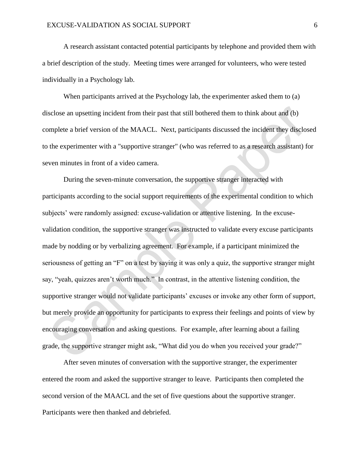A research assistant contacted potential participants by telephone and provided them with a brief description of the study. Meeting times were arranged for volunteers, who were tested individually in a Psychology lab.

When participants arrived at the Psychology lab, the experimenter asked them to (a) disclose an upsetting incident from their past that still bothered them to think about and (b) complete a brief version of the MAACL. Next, participants discussed the incident they disclosed to the experimenter with a "supportive stranger" (who was referred to as a research assistant) for seven minutes in front of a video camera.

During the seven-minute conversation, the supportive stranger interacted with participants according to the social support requirements of the experimental condition to which subjects' were randomly assigned: excuse-validation or attentive listening. In the excusevalidation condition, the supportive stranger was instructed to validate every excuse participants made by nodding or by verbalizing agreement. For example, if a participant minimized the seriousness of getting an "F" on a test by saying it was only a quiz, the supportive stranger might say, "yeah, quizzes aren't worth much." In contrast, in the attentive listening condition, the supportive stranger would not validate participants' excuses or invoke any other form of support, but merely provide an opportunity for participants to express their feelings and points of view by encouraging conversation and asking questions. For example, after learning about a failing grade, the supportive stranger might ask, "What did you do when you received your grade?"

After seven minutes of conversation with the supportive stranger, the experimenter entered the room and asked the supportive stranger to leave. Participants then completed the second version of the MAACL and the set of five questions about the supportive stranger. Participants were then thanked and debriefed.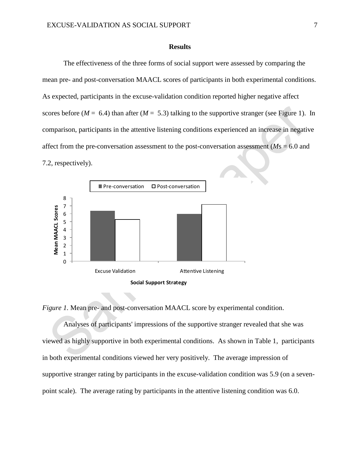# **Results**

The effectiveness of the three forms of social support were assessed by comparing the mean pre- and post-conversation MAACL scores of participants in both experimental conditions. As expected, participants in the excuse-validation condition reported higher negative affect scores before  $(M = 6.4)$  than after  $(M = 5.3)$  talking to the supportive stranger (see Figure 1). In comparison, participants in the attentive listening conditions experienced an increase in negative affect from the pre-conversation assessment to the post-conversation assessment (*M*s = 6.0 and 7.2, respectively).



*Figure 1.* Mean pre- and post-conversation MAACL score by experimental condition.

Analyses of participants' impressions of the supportive stranger revealed that she was viewed as highly supportive in both experimental conditions. As shown in Table 1, participants in both experimental conditions viewed her very positively. The average impression of supportive stranger rating by participants in the excuse-validation condition was 5.9 (on a sevenpoint scale). The average rating by participants in the attentive listening condition was 6.0.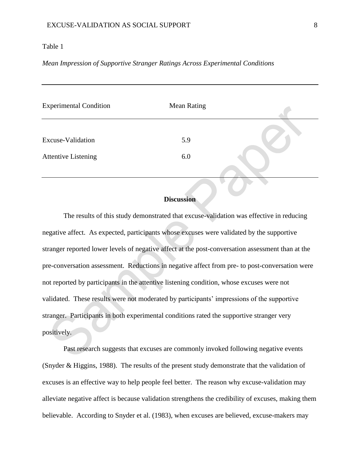# Table 1

# *Mean Impression of Supportive Stranger Ratings Across Experimental Conditions*

| <b>Experimental Condition</b> | <b>Mean Rating</b> |  |
|-------------------------------|--------------------|--|
|                               |                    |  |
| Excuse-Validation             | 5.9                |  |
| <b>Attentive Listening</b>    | 6.0                |  |
|                               |                    |  |

# **Discussion**

The results of this study demonstrated that excuse-validation was effective in reducing negative affect. As expected, participants whose excuses were validated by the supportive stranger reported lower levels of negative affect at the post-conversation assessment than at the pre-conversation assessment. Reductions in negative affect from pre- to post-conversation were not reported by participants in the attentive listening condition, whose excuses were not validated. These results were not moderated by participants' impressions of the supportive stranger. Participants in both experimental conditions rated the supportive stranger very positively.

Past research suggests that excuses are commonly invoked following negative events (Snyder & Higgins, 1988). The results of the present study demonstrate that the validation of excuses is an effective way to help people feel better. The reason why excuse-validation may alleviate negative affect is because validation strengthens the credibility of excuses, making them believable. According to Snyder et al. (1983), when excuses are believed, excuse-makers may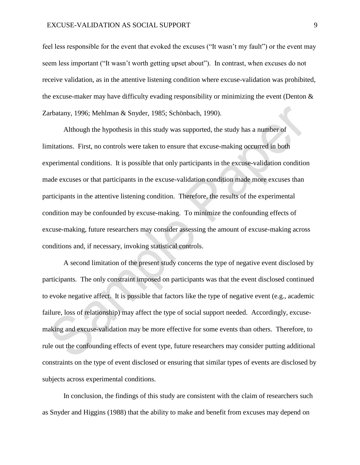feel less responsible for the event that evoked the excuses ("It wasn't my fault") or the event may seem less important ("It wasn't worth getting upset about"). In contrast, when excuses do not receive validation, as in the attentive listening condition where excuse-validation was prohibited, the excuse-maker may have difficulty evading responsibility or minimizing the event (Denton  $\&$ Zarbatany, 1996; Mehlman & Snyder, 1985; Schönbach, 1990).

Although the hypothesis in this study was supported, the study has a number of limitations. First, no controls were taken to ensure that excuse-making occurred in both experimental conditions. It is possible that only participants in the excuse-validation condition made excuses or that participants in the excuse-validation condition made more excuses than participants in the attentive listening condition. Therefore, the results of the experimental condition may be confounded by excuse-making. To minimize the confounding effects of excuse-making, future researchers may consider assessing the amount of excuse-making across conditions and, if necessary, invoking statistical controls.

A second limitation of the present study concerns the type of negative event disclosed by participants. The only constraint imposed on participants was that the event disclosed continued to evoke negative affect. It is possible that factors like the type of negative event (e.g., academic failure, loss of relationship) may affect the type of social support needed. Accordingly, excusemaking and excuse-validation may be more effective for some events than others. Therefore, to rule out the confounding effects of event type, future researchers may consider putting additional constraints on the type of event disclosed or ensuring that similar types of events are disclosed by subjects across experimental conditions.

In conclusion, the findings of this study are consistent with the claim of researchers such as Snyder and Higgins (1988) that the ability to make and benefit from excuses may depend on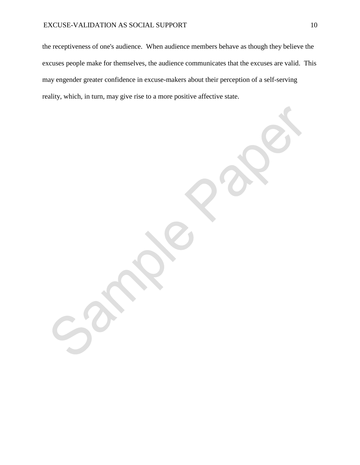the receptiveness of one's audience. When audience members behave as though they believe the excuses people make for themselves, the audience communicates that the excuses are valid. This may engender greater confidence in excuse-makers about their perception of a self-serving reality, which, in turn, may give rise to a more positive affective state.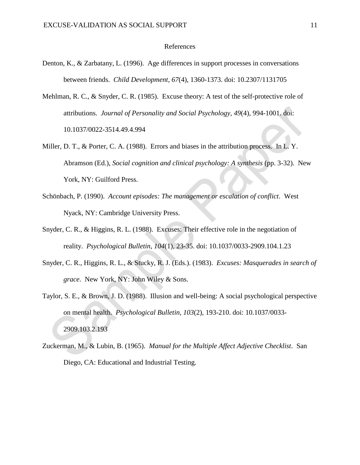# References

- Denton, K., & Zarbatany, L. (1996). Age differences in support processes in conversations between friends. *Child Development, 67*(4), 1360-1373. doi: 10.2307/1131705
- Mehlman, R. C., & Snyder, C. R. (1985). Excuse theory: A test of the self-protective role of attributions. *Journal of Personality and Social Psychology, 49*(4), 994-1001. doi: 10.1037/0022-3514.49.4.994
- Miller, D. T., & Porter, C. A. (1988). Errors and biases in the attribution process. In L. Y. Abramson (Ed.), *Social cognition and clinical psychology: A synthesis* (pp. 3-32). New York, NY: Guilford Press.
- Schönbach, P. (1990). *Account episodes: The management or escalation of conflict*. West Nyack, NY: Cambridge University Press.
- Snyder, C. R., & Higgins, R. L. (1988). Excuses: Their effective role in the negotiation of reality. *Psychological Bulletin, 104*(1), 23-35. doi: 10.1037/0033-2909.104.1.23
- Snyder, C. R., Higgins, R. L., & Stucky, R. J. (Eds.). (1983). *Excuses: Masquerades in search of grace*. New York, NY: John Wiley & Sons.
- Taylor, S. E., & Brown, J. D. (1988). Illusion and well-being: A social psychological perspective on mental health. *Psychological Bulletin, 103*(2), 193-210. doi: 10.1037/0033- 2909.103.2.193
- Zuckerman, M., & Lubin, B. (1965). *Manual for the Multiple Affect Adjective Checklist*. San Diego, CA: Educational and Industrial Testing.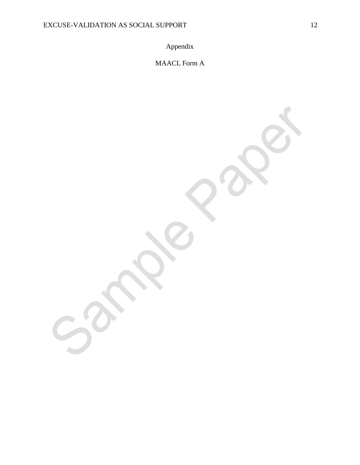Appendix

MAACL Form A